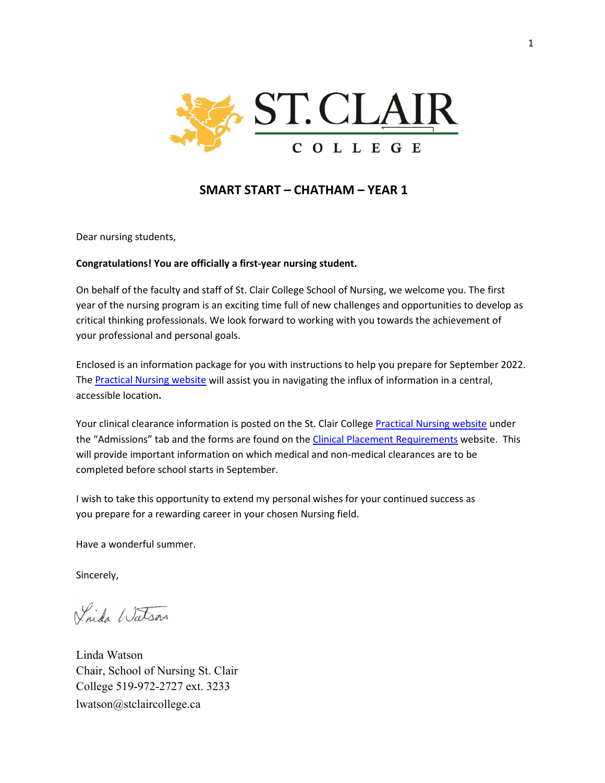

# **SMART START – CHATHAM – YEAR 1**

Dear nursing students,

### **Congratulations! You are officially a first-year nursing student.**

On behalf of the faculty and staff of St. Clair College School of Nursing, we welcome you. The first year of the nursing program is an exciting time full of new challenges and opportunities to develop as critical thinking professionals. We look forward to working with you towards the achievement of your professional and personal goals.

Enclosed is an information package for you with instructions to help you prepare for September 2022. The [Practical Nursing website](https://www.stclaircollege.ca/programs/practical-nursing) will assist you in navigating the influx of information in a central, accessible location**.**

Your clinical clearance information is posted on the St. Clair College [Practical Nursing website](https://www.stclaircollege.ca/programs/practical-nursing) under the "Admissions" tab and the forms are found on th[e Clinical Placement Requirements](https://www.stclaircollege.ca/programs/clinical-placement-requirements) website. This will provide important information on which medical and non-medical clearances are to be completed before school starts in September.

I wish to take this opportunity to extend my personal wishes for your continued success as you prepare for a rewarding career in your chosen Nursing field.

Have a wonderful summer.

Sincerely,

Vaida Watson

Linda Watson Chair, School of Nursing St. Clair College 519-972-2727 ext. 3233 lwatson@stclaircollege.ca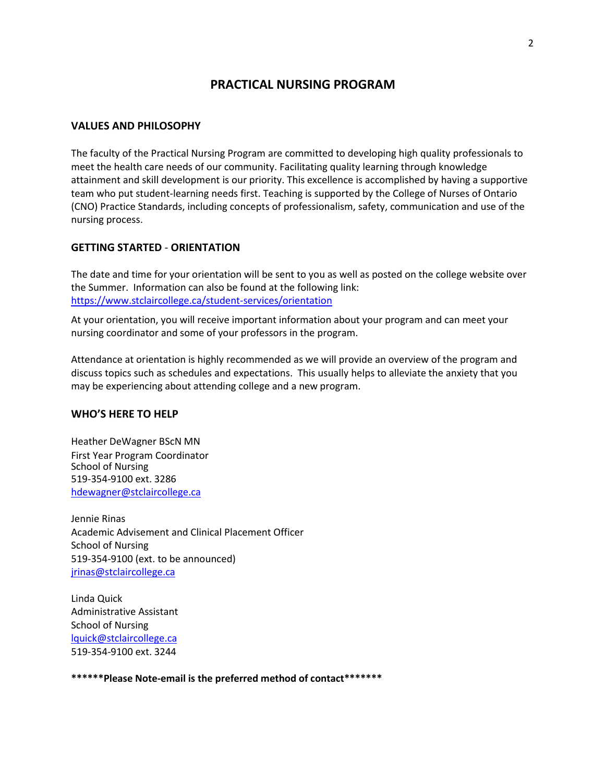# **PRACTICAL NURSING PROGRAM**

### **VALUES AND PHILOSOPHY**

The faculty of the Practical Nursing Program are committed to developing high quality professionals to meet the health care needs of our community. Facilitating quality learning through knowledge attainment and skill development is our priority. This excellence is accomplished by having a supportive team who put student-learning needs first. Teaching is supported by the College of Nurses of Ontario (CNO) Practice Standards, including concepts of professionalism, safety, communication and use of the nursing process.

### **GETTING STARTED** - **ORIENTATION**

The date and time for your orientation will be sent to you as well as posted on the college website over the Summer. Information can also be found at the following link: <https://www.stclaircollege.ca/student-services/orientation>

At your orientation, you will receive important information about your program and can meet your nursing coordinator and some of your professors in the program.

Attendance at orientation is highly recommended as we will provide an overview of the program and discuss topics such as schedules and expectations. This usually helps to alleviate the anxiety that you may be experiencing about attending college and a new program.

## **WHO'S HERE TO HELP**

Heather DeWagner BScN MN First Year Program Coordinator School of Nursing 519-354-9100 ext. 3286 [hdewagner@stclaircollege.ca](mailto:hdewagner@stclaircollege.ca)

Jennie Rinas Academic Advisement and Clinical Placement Officer School of Nursing 519-354-9100 (ext. to be announced) [jrinas@stclaircollege.ca](mailto:jrinas@stclaircollege.ca)

Linda Quick Administrative Assistant School of Nursing [lquick@stclaircollege.ca](mailto:lquick@stclaircollege.ca) 519-354-9100 ext. 3244

**\*\*\*\*\*\*Please Note-email is the preferred method of contact\*\*\*\*\*\*\***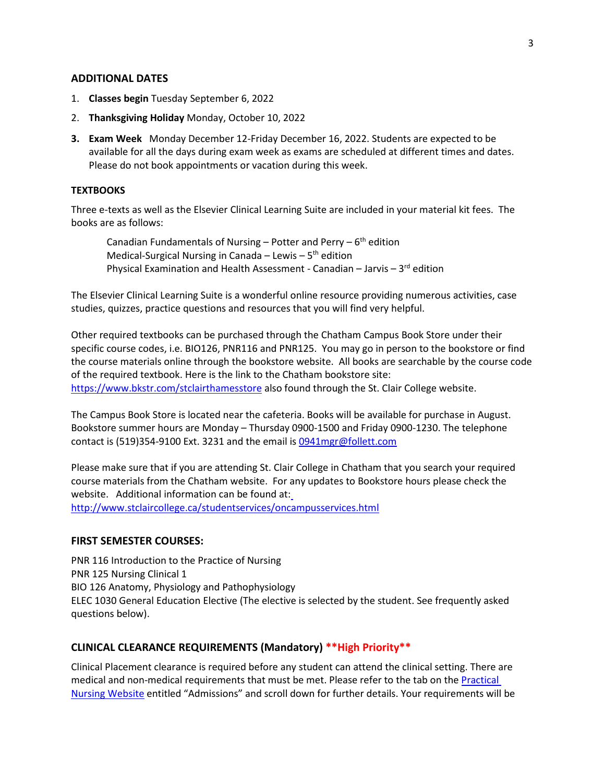#### **ADDITIONAL DATES**

- 1. **Classes begin** Tuesday September 6, 2022
- 2. **Thanksgiving Holiday** Monday, October 10, 2022
- **3. Exam Week** Monday December 12-Friday December 16, 2022. Students are expected to be available for all the days during exam week as exams are scheduled at different times and dates. Please do not book appointments or vacation during this week.

#### **TEXTBOOKS**

Three e-texts as well as the Elsevier Clinical Learning Suite are included in your material kit fees. The books are as follows:

Canadian Fundamentals of Nursing – Potter and Perry –  $6<sup>th</sup>$  edition Medical-Surgical Nursing in Canada – Lewis –  $5<sup>th</sup>$  edition Physical Examination and Health Assessment - Canadian – Jarvis –  $3<sup>rd</sup>$  edition

The Elsevier Clinical Learning Suite is a wonderful online resource providing numerous activities, case studies, quizzes, practice questions and resources that you will find very helpful.

Other required textbooks can be purchased through the Chatham Campus Book Store under their specific course codes, i.e. BIO126, PNR116 and PNR125. You may go in person to the bookstore or find the course materials online through the bookstore website. All books are searchable by the course code of the required textbook. Here is the link to the Chatham bookstore site: <https://www.bkstr.com/stclairthamesstore> also found through the St. Clair College website.

The Campus Book Store is located near the cafeteria. Books will be available for purchase in August. Bookstore summer hours are Monday – Thursday 0900-1500 and Friday 0900-1230. The telephone contact is (519)354-9100 Ext. 3231 and the email i[s 0941mgr@follett.com](mailto:0941mgr@follett.com) 

Please make sure that if you are attending St. Clair College in Chatham that you search your required course materials from the Chatham website. For any updates to Bookstore hours please check the website. Additional information can be found at: <http://www.stclaircollege.ca/studentservices/oncampusservices.html>

#### **FIRST SEMESTER COURSES:**

PNR 116 Introduction to the Practice of Nursing PNR 125 Nursing Clinical 1 BIO 126 Anatomy, Physiology and Pathophysiology ELEC 1030 General Education Elective (The elective is selected by the student. See frequently asked questions below).

## **CLINICAL CLEARANCE REQUIREMENTS (Mandatory) \*\*High Priority\*\***

Clinical Placement clearance is required before any student can attend the clinical setting. There are medical and non-medical requirements that must be met. Please refer to the tab on the [Practical](https://www.stclaircollege.ca/programs/practical-nursing) Nursing Website entitled "Admissions" and scroll down for further details. Your requirements will be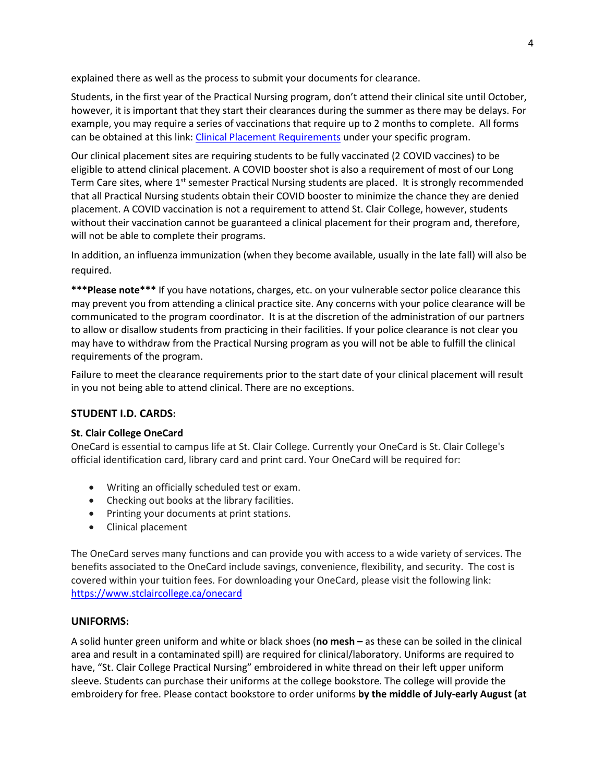explained there as well as the process to submit your documents for clearance.

Students, in the first year of the Practical Nursing program, don't attend their clinical site until October, however, it is important that they start their clearances during the summer as there may be delays. For example, you may require a series of vaccinations that require up to 2 months to complete. All forms can be obtained at this link: [Clinical Placement Requirements](https://www.stclaircollege.ca/programs/clinical-placement-requirements) under your specific program.

Our clinical placement sites are requiring students to be fully vaccinated (2 COVID vaccines) to be eligible to attend clinical placement. A COVID booster shot is also a requirement of most of our Long Term Care sites, where  $1<sup>st</sup>$  semester Practical Nursing students are placed. It is strongly recommended that all Practical Nursing students obtain their COVID booster to minimize the chance they are denied placement. A COVID vaccination is not a requirement to attend St. Clair College, however, students without their vaccination cannot be guaranteed a clinical placement for their program and, therefore, will not be able to complete their programs.

In addition, an influenza immunization (when they become available, usually in the late fall) will also be required.

**\*\*\*Please note\*\*\*** If you have notations, charges, etc. on your vulnerable sector police clearance this may prevent you from attending a clinical practice site. Any concerns with your police clearance will be communicated to the program coordinator. It is at the discretion of the administration of our partners to allow or disallow students from practicing in their facilities. If your police clearance is not clear you may have to withdraw from the Practical Nursing program as you will not be able to fulfill the clinical requirements of the program.

Failure to meet the clearance requirements prior to the start date of your clinical placement will result in you not being able to attend clinical. There are no exceptions.

# **STUDENT I.D. CARDS:**

## **St. Clair College OneCard**

OneCard is essential to campus life at St. Clair College. Currently your OneCard is St. Clair College's official identification card, library card and print card. Your OneCard will be required for:

- Writing an officially scheduled test or exam.
- Checking out books at the library facilities.
- Printing your documents at print stations.
- Clinical placement

The OneCard serves many functions and can provide you with access to a wide variety of services. The benefits associated to the OneCard include savings, convenience, flexibility, and security. The cost is covered within your tuition fees. For downloading your OneCard, please visit the following link: <https://www.stclaircollege.ca/onecard>

## **UNIFORMS:**

A solid hunter green uniform and white or black shoes (**no mesh –** as these can be soiled in the clinical area and result in a contaminated spill) are required for clinical/laboratory. Uniforms are required to have, "St. Clair College Practical Nursing" embroidered in white thread on their left upper uniform sleeve. Students can purchase their uniforms at the college bookstore. The college will provide the embroidery for free. Please contact bookstore to order uniforms **by the middle of July-early August (at**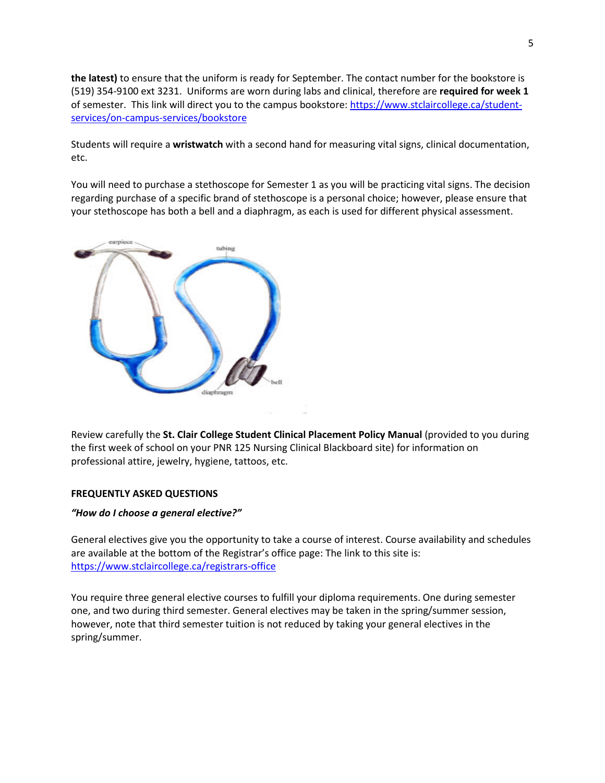**the latest)** to ensure that the uniform is ready for September. The contact number for the bookstore is (519) 354-9100 ext 3231. Uniforms are worn during labs and clinical, therefore are **required for week 1**  of semester. This link will direct you to the campus bookstore: [https://www.stclaircollege.ca/student](https://www.stclaircollege.ca/student-services/on-campus-services/bookstore)[services/on-campus-services/bookstore](https://www.stclaircollege.ca/student-services/on-campus-services/bookstore)

Students will require a **wristwatch** with a second hand for measuring vital signs, clinical documentation, etc.

You will need to purchase a stethoscope for Semester 1 as you will be practicing vital signs. The decision regarding purchase of a specific brand of stethoscope is a personal choice; however, please ensure that your stethoscope has both a bell and a diaphragm, as each is used for different physical assessment.



Review carefully the **St. Clair College Student Clinical Placement Policy Manual** (provided to you during the first week of school on your PNR 125 Nursing Clinical Blackboard site) for information on professional attire, jewelry, hygiene, tattoos, etc.

#### **FREQUENTLY ASKED QUESTIONS**

#### *"How do I choose a general elective?"*

General electives give you the opportunity to take a course of interest. Course availability and schedules are available at the bottom of the Registrar's office page: The link to this site is: <https://www.stclaircollege.ca/registrars-office>

You require three general elective courses to fulfill your diploma requirements. One during semester one, and two during third semester. General electives may be taken in the spring/summer session, however, note that third semester tuition is not reduced by taking your general electives in the spring/summer.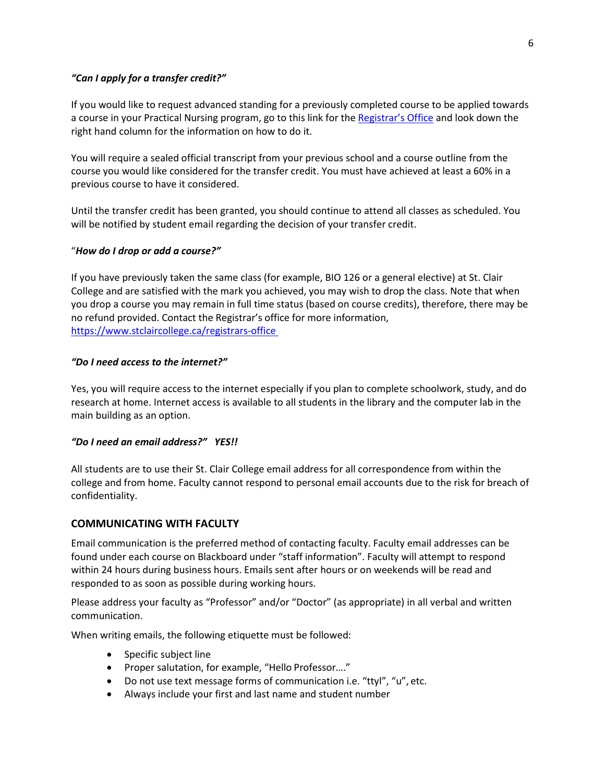## *"Can I apply for a transfer credit?"*

If you would like to request advanced standing for a previously completed course to be applied towards a course in your Practical Nursing program, go to this link for th[e Registrar's Office](https://www.stclaircollege.ca/registrars-office) and look down the right hand column for the information on how to do it.

You will require a sealed official transcript from your previous school and a course outline from the course you would like considered for the transfer credit. You must have achieved at least a 60% in a previous course to have it considered.

Until the transfer credit has been granted, you should continue to attend all classes as scheduled. You will be notified by student email regarding the decision of your transfer credit.

### "*How do I drop or add a course?"*

If you have previously taken the same class (for example, BIO 126 or a general elective) at St. Clair College and are satisfied with the mark you achieved, you may wish to drop the class. Note that when you drop a course you may remain in full time status (based on course credits), therefore, there may be no refund provided. Contact the Registrar's office for more information, <https://www.stclaircollege.ca/registrars-office>

### *"Do I need access to the internet?"*

Yes, you will require access to the internet especially if you plan to complete schoolwork, study, and do research at home. Internet access is available to all students in the library and the computer lab in the main building as an option.

#### *"Do I need an email address?" YES!!*

All students are to use their St. Clair College email address for all correspondence from within the college and from home. Faculty cannot respond to personal email accounts due to the risk for breach of confidentiality.

## **COMMUNICATING WITH FACULTY**

Email communication is the preferred method of contacting faculty. Faculty email addresses can be found under each course on Blackboard under "staff information". Faculty will attempt to respond within 24 hours during business hours. Emails sent after hours or on weekends will be read and responded to as soon as possible during working hours.

Please address your faculty as "Professor" and/or "Doctor" (as appropriate) in all verbal and written communication.

When writing emails, the following etiquette must be followed:

- Specific subject line
- Proper salutation, for example, "Hello Professor…."
- Do not use text message forms of communication i.e. "ttyl", "u", etc.
- Always include your first and last name and student number